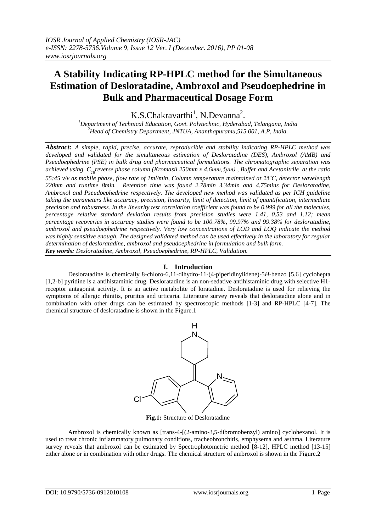# **A Stability Indicating RP-HPLC method for the Simultaneous Estimation of Desloratadine, Ambroxol and Pseudoephedrine in Bulk and Pharmaceutical Dosage Form**

 $K.S.C$ hakravarthi<sup>1</sup>, N.Devanna<sup>2</sup>.

*<sup>1</sup>Department of Technical Education, Govt. Polytechnic, Hyderabad, Telangana, India <sup>2</sup>Head of Chemistry Department, JNTUA, Ananthapuramu,515 001, A.P, India.*

*Abstract: A simple, rapid, precise, accurate, reproducible and stability indicating RP-HPLC method was developed and validated for the simultaneous estimation of Desloratadine (DES), Ambroxol (AMB) and Pseudoephedrine (PSE) in bulk drug and pharmaceutical formulations. The chromatographic separation was achieved using C18reverse phase column (Kromasil 250mm x 4.6mm,5μm) , Buffer and Acetonitrile at the ratio 55:45 v/v as mobile phase, flow rate of 1ml/min, Column temperature maintained at 25˚C, detector wavelength 220nm and runtime 8min. Retention time was found 2.78min 3.34min and 4.75mins for Desloratadine, Ambroxol and Pseudoephedrine respectively. The developed new method was validated as per ICH guideline taking the parameters like accuracy, precision, linearity, limit of detection, limit of quantification, intermediate precision and robustness. In the linearity test correlation coefficient was found to be 0.999 for all the molecules, percentage relative standard deviation results from precision studies were 1.41, 0.53 and 1.12; mean percentage recoveries in accuracy studies were found to be 100.78%, 99.97% and 99.38% for desloratadine, ambroxol and pseudoephedrine respectively. Very low concentrations of LOD and LOQ indicate the method was highly sensitive enough. The designed validated method can be used effectively in the laboratory for regular determination of desloratadine, ambroxol and pseudoephedrine in formulation and bulk form. Key words: Desloratadine, Ambroxol, Pseudoephedrine, RP-HPLC, Validation.*

## **I. Introduction**

Desloratadine is chemically 8-chloro-6,11-dihydro-11-(4-piperidinylidene)-5*H-*benzo [5,6] cyclohepta [1,2-b] pyridine is a antihistaminic drug. Desloratadine is an non-sedative antihistaminic drug with selective H1 receptor antagonist activity. It is an active metabolite of loratadine. Desloratadine is used for relieving the symptoms of allergic rhinitis, pruritus and urticaria. Literature survey reveals that desloratadine alone and in combination with other drugs can be estimated by spectroscopic methods [1-3] and RP-HPLC [4-7]. The chemical structure of desloratadine is shown in the Figure.1



**Fig.1:** Structure of Desloratadine

Ambroxol is chemically known as [trans-4-[(2-amino-3,5-dibromobenzyl) amino] cyclohexanol. It is used to treat chronic inflammatory pulmonary conditions, tracheobronchitis, emphysema and asthma. Literature survey reveals that ambroxol can be estimated by Spectrophotometric method [8-12], HPLC method [13-15] either alone or in combination with other drugs. The chemical structure of ambroxol is shown in the Figure.2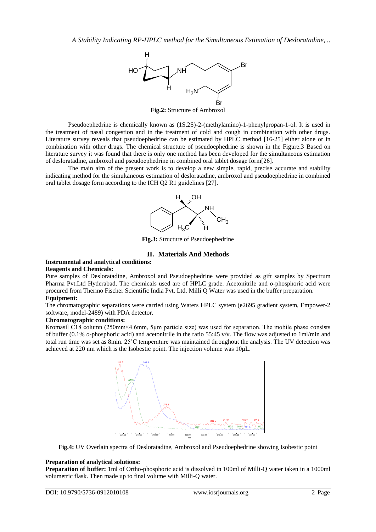

**Fig.2:** Structure of Ambroxol

Pseudoephedrine is chemically known as (1S,2S)-2-(methylamino)-1-phenylpropan-1-ol. It is used in the treatment of nasal congestion and in the treatment of cold and cough in combination with other drugs. Literature survey reveals that pseudoephedrine can be estimated by HPLC method [16-25] either alone or in combination with other drugs. The chemical structure of pseudoephedrine is shown in the Figure.3 Based on literature survey it was found that there is only one method has been developed for the simultaneous estimation of desloratadine, ambroxol and pseudoephedrine in combined oral tablet dosage form[26].

The main aim of the present work is to develop a new simple, rapid, precise accurate and stability indicating method for the simultaneous estimation of desloratadine, ambroxol and pseudoephedrine in combined oral tablet dosage form according to the ICH Q2 R1 guidelines [27].



**Fig.3:** Structure of Pseudoephedrine

# **II. Materials And Methods**

#### **Instrumental and analytical conditions: Reagents and Chemicals:**

Pure samples of Desloratadine, Ambroxol and Pseudoephedrine were provided as gift samples by Spectrum Pharma Pvt.Ltd Hyderabad. The chemicals used are of HPLC grade. Acetonitrile and *o*-phosphoric acid were procured from Thermo Fischer Scientific India Pvt. Ltd. Milli Q Water was used in the buffer preparation.

## **Equipment:**

The chromatographic separations were carried using Waters HPLC system (e2695 gradient system, Empower-2 software, model-2489) with PDA detector.

## **Chromatographic conditions:**

Kromasil C18 column (250mm×4.6mm, 5μm particle size) was used for separation. The mobile phase consists of buffer (0.1% *o*-phosphoric acid) and acetonitrile in the ratio 55:45 v/v. The flow was adjusted to 1ml/min and total run time was set as 8min. 25˚C temperature was maintained throughout the analysis. The UV detection was achieved at 220 nm which is the Isobestic point. The injection volume was 10μL.



**Fig.4:** UV Overlain spectra of Desloratadine, Ambroxol and Pseudoephedrine showing Isobestic point

## **Preparation of analytical solutions:**

**Preparation of buffer:** 1ml of Ortho-phosphoric acid is dissolved in 100ml of Milli-Q water taken in a 1000ml volumetric flask. Then made up to final volume with Milli-Q water.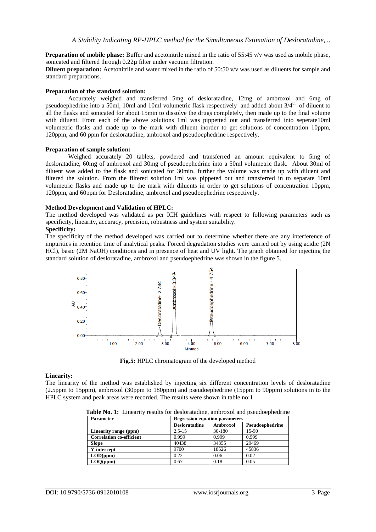**Preparation of mobile phase:** Buffer and acetonitrile mixed in the ratio of 55:45 v/v was used as mobile phase, sonicated and filtered through 0.22µ filter under vacuum filtration.

**Diluent preparation:** Acetonitrile and water mixed in the ratio of 50:50 v/v was used as diluents for sample and standard preparations.

#### **Preparation of the standard solution:**

Accurately weighed and transferred 5mg of desloratadine, 12mg of ambroxol and 6mg of pseudoephedrine into a 50ml, 10ml and 10ml volumetric flask respectively and added about 3/4<sup>th</sup> of diluent to all the flasks and sonicated for about 15min to dissolve the drugs completely, then made up to the final volume with diluent. From each of the above solutions 1ml was pippetted out and transferred into seperate10ml volumetric flasks and made up to the mark with diluent inorder to get solutions of concentration 10ppm, 120ppm, and 60 ppm for desloratadine, ambroxol and pseudoephedrine respectively.

#### **Preparation of sample solution:**

Weighed accurately 20 tablets, powdered and transferred an amount equivalent to 5mg of desloratadine, 60mg of ambroxol and 30mg of pseudoephedrine into a 50ml volumetric flask. About 30ml of diluent was added to the flask and sonicated for 30min, further the volume was made up with diluent and filtered the solution. From the filtered solution 1ml was pippeted out and transferred in to separate 10ml volumetric flasks and made up to the mark with diluents in order to get solutions of concentration 10ppm, 120ppm, and 60ppm for Desloratadine, ambroxol and pseudoephedrine respectively.

## **Method Development and Validation of HPLC:**

The method developed was validated as per ICH guidelines with respect to following parameters such as specificity, linearity, accuracy, precision, robustness and system suitability.

## **Specificity:**

The specificity of the method developed was carried out to determine whether there are any interference of impurities in retention time of analytical peaks. Forced degradation studies were carried out by using acidic (2N HCl), basic (2M NaOH) conditions and in presence of heat and UV light. The graph obtained for injecting the standard solution of desloratadine, ambroxol and pseudoephedrine was shown in the figure 5.



**Fig.5:** HPLC chromatogram of the developed method

#### **Linearity:**

The linearity of the method was established by injecting six different concentration levels of desloratadine (2.5ppm to 15ppm), ambroxol (30ppm to 180ppm) and pseudoephedrine (15ppm to 90ppm) solutions in to the HPLC system and peak areas were recorded. The results were shown in table no:1

|--|

| <b>Parameter</b>                | <b>Regression equation parameters</b> |          |                 |  |  |  |
|---------------------------------|---------------------------------------|----------|-----------------|--|--|--|
|                                 | <b>Desloratadine</b>                  | Ambroxol | Pseudoephedrine |  |  |  |
| Linearity range (ppm)           | $2.5 - 15$                            | 30-180   | 15-90           |  |  |  |
| <b>Correlation co-efficient</b> | 0.999                                 | 0.999    | 0.999           |  |  |  |
| <b>Slope</b>                    | 40438                                 | 34355    | 29469           |  |  |  |
| Y-intercept                     | 9700                                  | 18526    | 45836           |  |  |  |
| LOD(ppm)                        | 0.22                                  | 0.06     | 0.02            |  |  |  |
| LOO(ppm)                        | 0.67                                  | 0.18     | 0.05            |  |  |  |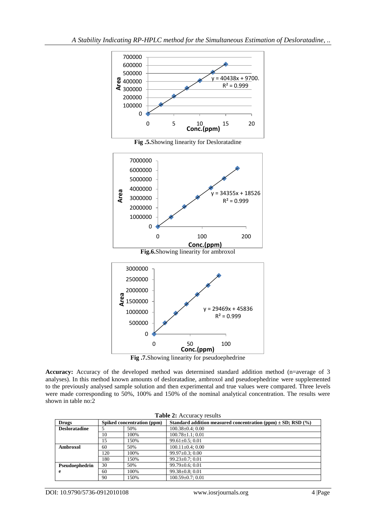

**Accuracy:** Accuracy of the developed method was determined standard addition method (n=average of 3 analyses). In this method known amounts of desloratadine, ambroxol and pseudoephedrine were supplemented to the previously analysed sample solution and then experimental and true values were compared. Three levels were made corresponding to 50%, 100% and 150% of the nominal analytical concentration. The results were shown in table no:2

| Table 2: Accuracy results |     |                            |                                                                  |  |  |
|---------------------------|-----|----------------------------|------------------------------------------------------------------|--|--|
| <b>Drugs</b>              |     | Spiked concentration (ppm) | Standard addition measured concentration (ppm) $\pm$ SD; RSD (%) |  |  |
| <b>Desloratadine</b>      |     | 50%                        | $100.38 \pm 0.4$ ; 0.00                                          |  |  |
|                           | 10  | 100%                       | $100.78 \pm 1.1$ ; 0.01                                          |  |  |
|                           | 15  | 150%                       | $99.61 \pm 0.5$ ; 0.01                                           |  |  |
| Ambroxol                  | 60  | 50%                        | $100.11 \pm 0.4$ ; 0.00                                          |  |  |
|                           | 120 | 100%                       | $99.97 \pm 0.3$ ; 0.00                                           |  |  |
|                           | 180 | 150%                       | $99.23 \pm 0.7$ ; 0.01                                           |  |  |
| Pseudoephedrin            | 30  | 50%                        | $99.79 \pm 0.6$ ; 0.01                                           |  |  |
| e                         | 60  | 100%                       | $99.38 \pm 0.8$ ; 0.01                                           |  |  |
|                           | 90  | 150%                       | $100.59 \pm 0.7$ ; 0.01                                          |  |  |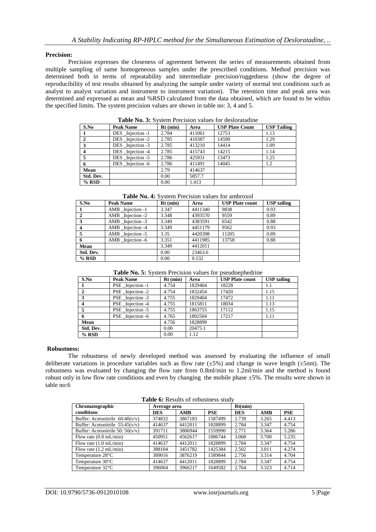## **Precision:**

Precision expresses the closeness of agreement between the series of measurements obtained from multiple sampling of same homogeneous samples under the prescribed conditions. Method precision was determined both in terms of repeatability and intermediate precision/ruggedness (show the degree of reproducibility of test results obtained by analyzing the sample under variety of normal test conditions such as analyst to analyst variation and instrument to instrument variation). The retention time and peak area was determined and expressed as mean and %RSD calculated from the data obtained, which are found to be within the specified limits. The system precision values are shown in table no: 3, 4 and 5.

| S.No         | <b>Peak Name</b> | $Rt$ (min) | Area   | <b>USP Plate Count</b> | <b>USP Tailing</b> |
|--------------|------------------|------------|--------|------------------------|--------------------|
|              |                  |            |        |                        |                    |
|              | DES Injection -1 | 2.784      | 411061 | 12753                  | 1.13               |
| $\mathbf{2}$ | DES Injection -2 | 2.785      | 410387 | 14590                  | 1.29               |
| 3            | DES Injection -3 | 2.785      | 413210 | 14414                  | 1.09               |
| 4            | DES Injection -4 | 2.785      | 415743 | 14215                  | 1.14               |
| 5            | DES Injection -5 | 2.786      | 425931 | 13473                  | 1.25               |
| 6            | DES Injection -6 | 2.786      | 411491 | 14045                  | 1.2                |
| Mean         |                  | 2.79       | 414637 |                        |                    |
| Std. Dev.    |                  | 0.00       | 5857.7 |                        |                    |
| $%$ RSD      |                  | 0.00       | 1.413  |                        |                    |

**Table No. 3:** System Precision values for desloratadine

| Table No. 4: System Precision values for ambroxol |
|---------------------------------------------------|
|---------------------------------------------------|

| S.No      | <b>Peak Name</b>   | $Rt$ (min) | Area    | <b>USP Plate count</b> | <b>USP</b> tailing |
|-----------|--------------------|------------|---------|------------------------|--------------------|
|           | AMB Injection -1   | 3.347      | 4411340 | 9838                   | 0.93               |
| 2         | AMB Injection -2   | 3.348      | 4393570 | 9559                   | 0.89               |
| 3         | AMB Injection -3   | 3.349      | 4383591 | 6542                   | 0.88               |
|           | AMB Injection -4   | 3.349      | 4451179 | 9562                   | 0.93               |
|           | $AMB$ Injection -5 | 3.35       | 4420398 | 11205                  | 0.89               |
|           | AMB Injection -6   | 3.351      | 4411985 | 13758                  | 0.88               |
| Mean      |                    | 3.349      | 4412011 |                        |                    |
| Std. Dev. |                    | 0.00       | 23463.6 |                        |                    |
| $%$ RSD   |                    | 0.00       | 0.532   |                        |                    |

| Table No. 5: System Precision values for pseudoephedrine |  |
|----------------------------------------------------------|--|
|----------------------------------------------------------|--|

| S.No      | <b>Peak Name</b>  | $Rt$ (min) | Area    | <b>USP Plate count</b> | <b>USP</b> tailing |
|-----------|-------------------|------------|---------|------------------------|--------------------|
|           | PSE Injection -1  | 4.754      | 1829464 | 18228                  | 1.1                |
|           | PSE Injection -2  | 4.754      | 1832454 | 17420                  | 1.15               |
|           | PSE Injection -3  | 4.755      | 1829404 | 17472                  | 1.11               |
|           | PSE Injection -4  | 4.755      | 1815811 | 18034                  | 1.13               |
|           | PSE _Injection -5 | 4.755      | 1863755 | 17112                  | 1.15               |
|           | PSE Injection -6  | 4.765      | 1802504 | 17217                  | 1.11               |
| Mean      |                   | 4.756      | 1828899 |                        |                    |
| Std. Dev. |                   | 0.00       | 20475.1 |                        |                    |
| $%$ RSD   |                   | 0.00       | 1.12    |                        |                    |

#### **Robustness:**

The robustness of newly developed method was assessed by evaluating the influence of small deliberate variations in procedure variables such as flow rate  $(\pm 5\%)$  and change in wave length  $(\pm 5$ nm). The robustness was evaluated by changing the flow rate from 0.8ml/min to 1.2ml/min and the method is found robust only in low flow rate conditions and even by changing the mobile phase  $\pm 5\%$ . The results were shown in table no:6

|  |  | Table 6: Results of robustness study |  |
|--|--|--------------------------------------|--|
|--|--|--------------------------------------|--|

| Chromatographic                    |            | Average area |            |            | Rt(min) |            |  |  |
|------------------------------------|------------|--------------|------------|------------|---------|------------|--|--|
| conditions                         | <b>DES</b> | AMB          | <b>PSE</b> | <b>DES</b> | AMB     | <b>PSE</b> |  |  |
| Buffer: Acetonitrile $60:40(v/v)$  | 374832     | 3867183      | 1587499    | 2.739      | 3.265   | 4.413      |  |  |
| Buffer: Acetonitrile $55:45(v/v)$  | 414637     | 4412011      | 1828899    | 2.784      | 3.347   | 4.754      |  |  |
| Buffer: Acetonitrile 50: $50(v/v)$ | 391711     | 3806944      | 1559990    | 2.771      | 3.364   | 5.286      |  |  |
| Flow rate $(0.8 \text{ mL/min})$   | 450951     | 4562617      | 1886744    | 3.068      | 3.700   | 5.235      |  |  |
| Flow rate $(1.0 \text{ mL/min})$   | 414637     | 4412011      | 1828899    | 2.784      | 3.347   | 4.754      |  |  |
| Flow rate $(1.2 \text{ mL/min})$   | 388104     | 3451782      | 1425384    | 2.502      | 3.011   | 4.274      |  |  |
| Temperature 28°C                   | 389016     | 3876219      | 1589844    | 2.756      | 3.314   | 4.704      |  |  |
| Temperature $30^{\circ}$ C         | 414637     | 4412011      | 1828899    | 2.784      | 3.347   | 4.754      |  |  |
| Temperature 32 <sup>°</sup> C      | 396004     | 3966217      | 1649582    | 2.764      | 3.323   | 4.714      |  |  |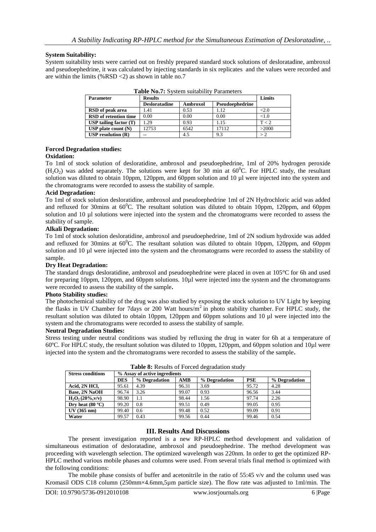## **System Suitability:**

System suitability tests were carried out on freshly prepared standard stock solutions of desloratadine, ambroxol and pseudoephedrine, it was calculated by injecting standards in six replicates and the values were recorded and are within the limits (%RSD <2) as shown in table no.7

| <b>Parameter</b>             | <b>Results</b>       |          |                 |                 |  |  |
|------------------------------|----------------------|----------|-----------------|-----------------|--|--|
|                              | <b>Desloratadine</b> | Ambroxol | Pseudoephedrine |                 |  |  |
| RSD of peak area             | 1.41                 | 0.53     | l.12            | $\triangle 2.0$ |  |  |
| <b>RSD</b> of retention time | 0.00                 | 0.00     | 0.00            | $< \!\! 1.0$    |  |  |
| USP tailing factor $(T)$     | .29                  | 0.93     | 1.15            | T < 2           |  |  |
| $USP$ plate count $(N)$      | 12753                | 6542     | 17112           | >2000           |  |  |
| $USP$ resolution $(R)$       | --                   | 4.5      | 9.3             |                 |  |  |

**Table No.7:** System suitability Parameters

# **Forced Degradation studies:**

# **Oxidation:**

To 1ml of stock solution of desloratidine, ambroxol and pseudoephedrine, 1ml of 20% hydrogen peroxide  $(H<sub>2</sub>O<sub>2</sub>)$  was added separately. The solutions were kept for 30 min at  $60^{\circ}$ C. For HPLC study, the resultant solution was diluted to obtain 10ppm, 120ppm, and 60ppm solution and 10 µl were injected into the system and the chromatograms were recorded to assess the stability of sample.

## **Acid Degradation:**

To 1ml of stock solution desloratidine, ambroxol and pseudoephedrine 1ml of 2N Hydrochloric acid was added and refluxed for 30mins at  $60^{\circ}$ C. The resultant solution was diluted to obtain 10ppm, 120ppm, and 60ppm solution and 10 µl solutions were injected into the system and the chromatograms were recorded to assess the stability of sample.

## **Alkali Degradation:**

To 1ml of stock solution desloratidine, ambroxol and pseudoephedrine, 1ml of 2N sodium hydroxide was added and refluxed for 30mins at  $60^{\circ}$ C. The resultant solution was diluted to obtain 10ppm, 120ppm, and 60ppm solution and 10 µl were injected into the system and the chromatograms were recorded to assess the stability of sample.

## **Dry Heat Degradation:**

The standard drugs desloratidine, ambroxol and pseudoephedrine were placed in oven at 105°C for 6h and used for preparing 10ppm, 120ppm, and 60ppm solutions. 10µl were injected into the system and the chromatograms were recorded to assess the stability of the sample**.**

#### **Photo Stability studies:**

The photochemical stability of the drug was also studied by exposing the stock solution to UV Light by keeping the flasks in UV Chamber for 7days or 200 Watt hours/m<sup>2</sup>in photo stability chamber. For HPLC study, the resultant solution was diluted to obtain 10ppm, 120ppm and 60ppm solutions and 10 µl were injected into the system and the chromatograms were recorded to assess the stability of sample.

## **Neutral Degradation Studies:**

Stress testing under neutral conditions was studied by refluxing the drug in water for 6h at a temperature of 60ºC. For HPLC study, the resultant solution was diluted to 10ppm, 120ppm, and 60ppm solution and 10µl were injected into the system and the chromatograms were recorded to assess the stability of the sample**.**

| <b>Stress conditions</b> | % Assay of active ingredients |               |       |               |            |               |  |
|--------------------------|-------------------------------|---------------|-------|---------------|------------|---------------|--|
|                          | <b>DES</b>                    | % Degradation | AMB   | % Degradation | <b>PSE</b> | % Degradation |  |
| Acid, 2N HCl,            | 95.61                         | 4.39          | 96.31 | 3.69          | 95.72      | 4.28          |  |
| <b>Base, 2N NaOH</b>     | 96.74                         | 3.26          | 99.07 | 0.93          | 96.56      | 3.44          |  |
| $H_2O_2(20\%, v/v)$      | 98.90                         | 1.1           | 98.44 | 1.56          | 97.74      | 2.26          |  |
| Dry heat $(80 °C)$       | 99.20                         | 0.8           | 99.51 | 0.49          | 99.05      | 0.95          |  |
| UV(365 nm)               | 99.40                         | 0.6           | 99.48 | 0.52          | 99.09      | 0.91          |  |
| Water                    | 99.57                         | 0.43          | 99.56 | 0.44          | 99.46      | 0.54          |  |

**Table 8:** Results of Forced degradation study

## **III. Results And Discussions**

The present investigation reported is a new RP-HPLC method development and validation of simultaneous estimation of desloratadine, ambroxol and pseudoephedrine. The method development was proceeding with wavelength selection. The optimized wavelength was 220nm. In order to get the optimized RP-HPLC method various mobile phases and columns were used. From several trials final method is optimized with the following conditions:

The mobile phase consists of buffer and acetonitrile in the ratio of  $55:45 \sqrt{v}$  and the column used was Kromasil ODS C18 column (250mm×4.6mm,5µm particle size). The flow rate was adjusted to 1ml/min. The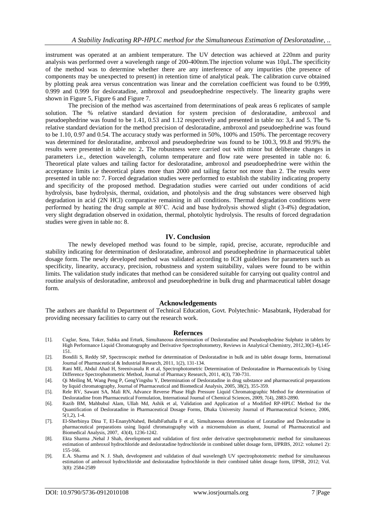instrument was operated at an ambient temperature. The UV detection was achieved at 220nm and purity analysis was performed over a wavelength range of 200-400nm.The injection volume was 10µL.The specificity of the method was to determine whether there are any interference of any impurities (the presence of components may be unexpected to present) in retention time of analytical peak. The calibration curve obtained by plotting peak area versus concentration was linear and the correlation coefficient was found to be 0.999, 0.999 and 0.999 for desloratadine, ambroxol and pseudoephedrine respectively. The linearity graphs were shown in Figure 5, Figure 6 and Figure 7.

The precision of the method was ascertained from determinations of peak areas 6 replicates of sample solution. The % relative standard deviation for system precision of desloratadine, ambroxol and pseudoephedrine was found to be 1.41, 0.53 and 1.12 respectively and presented in table no: 3,4 and 5. The % relative standard deviation for the method precision of desloratadine, ambroxol and pseudoephedrine was found to be 1.10, 0.97 and 0.54. The accuracy study was performed in 50%, 100% and 150%. The percentage recovery was determined for desloratadine, ambroxol and pseudoephedrine was found to be 100.3, 99.8 and 99.9% the results were presented in table no: 2**.** The robustness were carried out with minor but deliberate changes in parameters i.e., detection wavelength, column temperature and flow rate were presented in table no: 6. Theoretical plate values and tailing factor for desloratadine, ambroxol and pseudoephedrine were within the acceptance limits i.e theoretical plates more than 2000 and tailing factor not more than 2. The results were presented in table no: 7. Forced degradation studies were performed to establish the stability indicating property and specificity of the proposed method. Degradation studies were carried out under conditions of acid hydrolysis, base hydrolysis, thermal, oxidation, and photolysis and the drug substances were observed high degradation in acid (2N HCl) comparative remaining in all conditions. Thermal degradation conditions were performed by heating the drug sample at 80˚C. Acid and base hydrolysis showed slight (3-4%) degradation, very slight degradation observed in oxidation, thermal, photolytic hydrolysis. The results of forced degradation studies were given in table no: 8.

## **IV. Conclusion**

The newly developed method was found to be simple, rapid, precise, accurate, reproducible and stability indicating for determination of desloratadine, ambroxol and pseudoephedrine in pharmaceutical tablet dosage form. The newly developed method was validated according to ICH guidelines for parameters such as specificity, linearity, accuracy, precision, robustness and system suitability, values were found to be within limits. The validation study indicates that method can be considered suitable for carrying out quality control and routine analysis of desloratadine, ambroxol and pseudoephedrine in bulk drug and pharmaceutical tablet dosage form.

#### **Acknowledgements**

The authors are thankful to Department of Technical Education, Govt. Polytechnic- Masabtank, Hyderabad for providing necessary facilities to carry out the research work.

#### **Refernces**

- [1]. Caglar, Sena, Toker, Sıdıka and Erturk, Simultaneous determination of Desloratadine and Pseudoephedrine Sulphate in tablets by High Performance Liquid Chromatography and Derivative Spectrophotometry, Reviews in Analytical Chemistry, 2012,30(3-4),145- 151.
- [2]. Bondili S, Reddy SP, Spectroscopic method for determination of Desloratadine in bulk and its tablet dosage forms, International Journal of Pharmaceutical & Industrial Research, 2011, 1(2), 131-134.
- [3]. Rani ME, Abdul Ahad H, Sreenivasulu R et al, Spectrophotometric Determination of Desloratadine in Pharmaceuticals by Using Difference Spectrophotometric Method, Journal of Pharmacy Research, 2011, 4(3), 730-731.
- [4]. Qi Meiling M, Wang Peng P, GengYingshu Y, Determination of Desloratadine in drug substance and pharmaceutical preparations by liquid chromatography, Journal of Pharmaceutical and Biomedical Analysis, 2005, 38(2), 355-359.
- [5]. Rele RV, Sawant SA, Mali RN, Advance Reverse Phase High Pressure Liquid Chromatographic Method for determination of Desloratadine from Pharmaceutical Formulation, International Journal of Chemical Sciences, 2009, 7(4), 2883-2890.
- [6]. Razib BM, Mahbubul Alam, Ullah Md, Ashik et al, Validation and Application of a Modified RP-HPLC Method for the Quantification of Desloratadine in Pharmaceutical Dosage Forms, Dhaka University Journal of Pharmaceutical Science, 2006,  $5(1,2)$ , 1-4.
- [7]. El-Sherbinya Dina T, El-EnanybNahed, BelalbFathalla F et al, Simultaneous determination of Loratadine and Desloratadine in pharmaceutical preparations using liquid chromatography with a microemulsion as eluent, Journal of Pharmaceutical and Biomedical Analysis, 2007, 43(4), 1236-1242.
- [8]. Ekta Sharma ,Nehal J Shah, development and validation of first order derivative spectrophotometric method for simultaneous estimation of ambroxol hydrochloride and desloratadine hydrochloride in combined tablet dosage form, IJPRBS, 2012: volume1 2): 155-166.
- [9]. E.A. Sharma and N. J. Shah, development and validation of dual wavelength UV spectrophotometric method for simultaneous estimation of ambroxol hydrochloride and desloratadine hydrochloride in their combined tablet dosage form, IJPSR, 2012; Vol. 3(8): 2584-2589